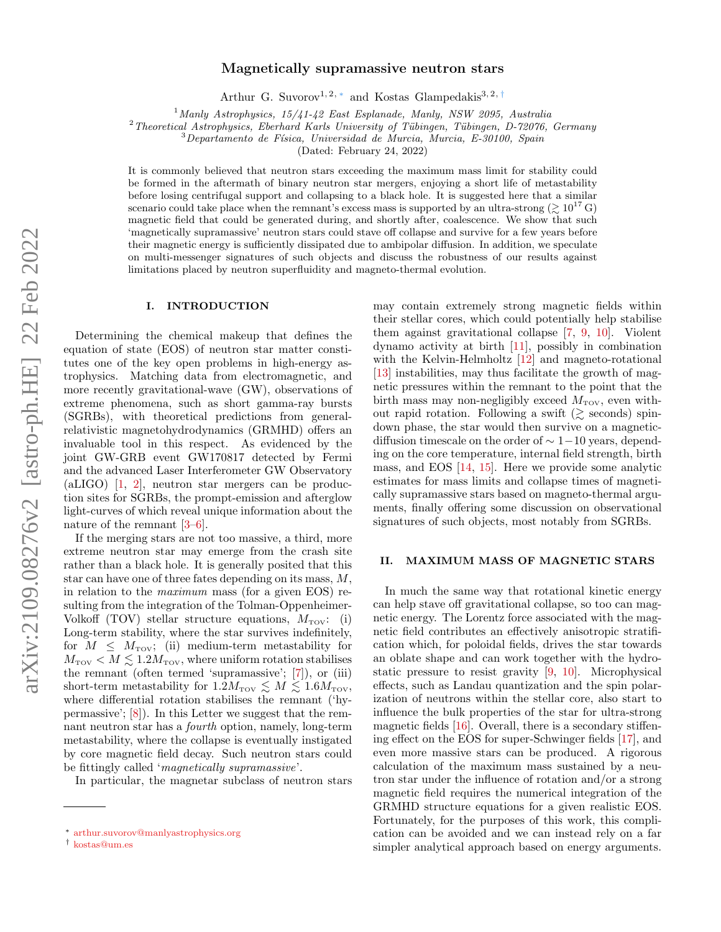# Magnetically supramassive neutron stars

Arthur G. Suvorov<sup>1, 2, \*</sup> and Kostas Glampedakis<sup>3, 2, [†](#page-0-1)</sup>

 $1$ Manly Astrophysics,  $15/41$ -42 East Esplanade, Manly, NSW 2095, Australia

 $2$ Theoretical Astrophysics, Eberhard Karls University of Tübingen, Tübingen, D-72076, Germany

 $3$ Departamento de Física, Universidad de Murcia, Murcia, E-30100, Spain

(Dated: February 24, 2022)

It is commonly believed that neutron stars exceeding the maximum mass limit for stability could be formed in the aftermath of binary neutron star mergers, enjoying a short life of metastability before losing centrifugal support and collapsing to a black hole. It is suggested here that a similar scenario could take place when the remnant's excess mass is supported by an ultra-strong  $(\gtrsim 10^{17} \text{ G})$ magnetic field that could be generated during, and shortly after, coalescence. We show that such 'magnetically supramassive' neutron stars could stave off collapse and survive for a few years before their magnetic energy is sufficiently dissipated due to ambipolar diffusion. In addition, we speculate on multi-messenger signatures of such objects and discuss the robustness of our results against limitations placed by neutron superfluidity and magneto-thermal evolution.

## I. INTRODUCTION

Determining the chemical makeup that defines the equation of state (EOS) of neutron star matter constitutes one of the key open problems in high-energy astrophysics. Matching data from electromagnetic, and more recently gravitational-wave (GW), observations of extreme phenomena, such as short gamma-ray bursts (SGRBs), with theoretical predictions from generalrelativistic magnetohydrodynamics (GRMHD) offers an invaluable tool in this respect. As evidenced by the joint GW-GRB event GW170817 detected by Fermi and the advanced Laser Interferometer GW Observatory (aLIGO) [\[1,](#page-4-0) [2\]](#page-4-1), neutron star mergers can be production sites for SGRBs, the prompt-emission and afterglow light-curves of which reveal unique information about the nature of the remnant [\[3](#page-4-2)[–6\]](#page-4-3).

If the merging stars are not too massive, a third, more extreme neutron star may emerge from the crash site rather than a black hole. It is generally posited that this star can have one of three fates depending on its mass, M, in relation to the maximum mass (for a given EOS) resulting from the integration of the Tolman-Oppenheimer-Volkoff (TOV) stellar structure equations,  $M_{\text{TOV}}$ : (i) Long-term stability, where the star survives indefinitely, for  $M \leq M_{\text{rov}}$ ; (ii) medium-term metastability for  $M_{\text{TOV}} < M \lesssim 1.2 M_{\text{TOV}}$ , where uniform rotation stabilises the remnant (often termed 'supramassive'; [\[7\]](#page-4-4)), or (iii) short-term metastability for  $1.2M_{\text{TOV}} \lesssim M \lesssim 1.6M_{\text{TOV}}$ , where differential rotation stabilises the remnant ('hypermassive'; [\[8\]](#page-4-5)). In this Letter we suggest that the remnant neutron star has a fourth option, namely, long-term metastability, where the collapse is eventually instigated by core magnetic field decay. Such neutron stars could be fittingly called 'magnetically supramassive'.

In particular, the magnetar subclass of neutron stars

may contain extremely strong magnetic fields within their stellar cores, which could potentially help stabilise them against gravitational collapse [\[7,](#page-4-4) [9,](#page-4-6) [10\]](#page-4-7). Violent dynamo activity at birth [\[11\]](#page-4-8), possibly in combination with the Kelvin-Helmholtz [\[12\]](#page-4-9) and magneto-rotational [\[13\]](#page-4-10) instabilities, may thus facilitate the growth of magnetic pressures within the remnant to the point that the birth mass may non-negligibly exceed  $M_{\text{TOV}}$ , even without rapid rotation. Following a swift  $(\gtrsim$  seconds) spindown phase, the star would then survive on a magneticdiffusion timescale on the order of  $\sim 1-10$  years, depending on the core temperature, internal field strength, birth mass, and EOS [\[14,](#page-4-11) [15\]](#page-4-12). Here we provide some analytic estimates for mass limits and collapse times of magnetically supramassive stars based on magneto-thermal arguments, finally offering some discussion on observational signatures of such objects, most notably from SGRBs.

#### II. MAXIMUM MASS OF MAGNETIC STARS

In much the same way that rotational kinetic energy can help stave off gravitational collapse, so too can magnetic energy. The Lorentz force associated with the magnetic field contributes an effectively anisotropic stratification which, for poloidal fields, drives the star towards an oblate shape and can work together with the hydrostatic pressure to resist gravity [\[9,](#page-4-6) [10\]](#page-4-7). Microphysical effects, such as Landau quantization and the spin polarization of neutrons within the stellar core, also start to influence the bulk properties of the star for ultra-strong magnetic fields [\[16\]](#page-4-13). Overall, there is a secondary stiffening effect on the EOS for super-Schwinger fields [\[17\]](#page-4-14), and even more massive stars can be produced. A rigorous calculation of the maximum mass sustained by a neutron star under the influence of rotation and/or a strong magnetic field requires the numerical integration of the GRMHD structure equations for a given realistic EOS. Fortunately, for the purposes of this work, this complication can be avoided and we can instead rely on a far simpler analytical approach based on energy arguments.

<span id="page-0-0"></span><sup>∗</sup> [arthur.suvorov@manlyastrophysics.org](mailto:arthur.suvorov@manlyastrophysics.org)

<span id="page-0-1"></span><sup>†</sup> [kostas@um.es](mailto:kostas@um.es)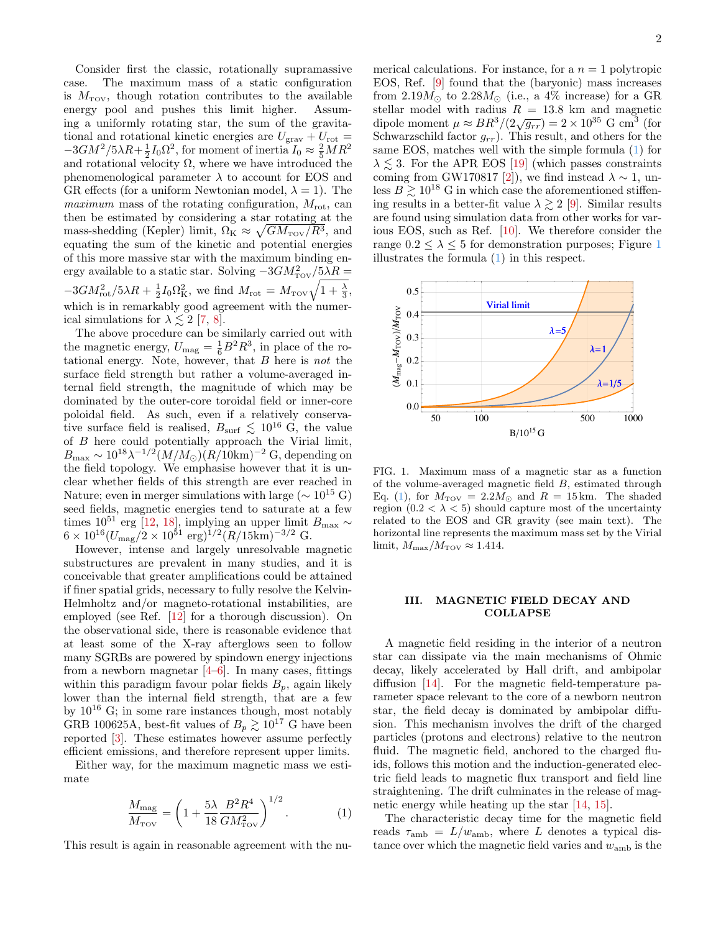Consider first the classic, rotationally supramassive case. The maximum mass of a static configuration is  $M_{\text{TOV}}$ , though rotation contributes to the available energy pool and pushes this limit higher. Assuming a uniformly rotating star, the sum of the gravitational and rotational kinetic energies are  $U_{\text{grav}} + U_{\text{rot}} =$  $-3GM^2/5\lambda R + \frac{1}{2}I_0\Omega^2$ , for moment of inertia  $I_0 \approx \frac{2}{5}MR^2$ and rotational velocity  $\Omega$ , where we have introduced the phenomenological parameter  $\lambda$  to account for EOS and GR effects (for a uniform Newtonian model,  $\lambda = 1$ ). The *maximum* mass of the rotating configuration,  $M_{\text{rot}}$ , can then be estimated by considering a star rotating at the mass-shedding (Kepler) limit,  $\Omega_{\rm K} \approx \sqrt{GM_{\rm TOV}/R^3}$ , and equating the sum of the kinetic and potential energies of this more massive star with the maximum binding energy available to a static star. Solving  $-3GM_{\rm TOV}^2/5\lambda R =$  $-3GM_{\text{rot}}^2/5\lambda R + \frac{1}{2}I_0\Omega_{\text{K}}^2$ , we find  $M_{\text{rot}} = M_{\text{rov}}\sqrt{1+\frac{\lambda}{3}}$ , which is in remarkably good agreement with the numerical simulations for  $\lambda \lesssim 2$  [\[7,](#page-4-4) [8\]](#page-4-5).

The above procedure can be similarly carried out with the magnetic energy,  $U_{\text{mag}} = \frac{1}{6}B^2 R^3$ , in place of the rotational energy. Note, however, that  $B$  here is not the surface field strength but rather a volume-averaged internal field strength, the magnitude of which may be dominated by the outer-core toroidal field or inner-core poloidal field. As such, even if a relatively conservative surface field is realised,  $B_{\text{surf}} \lesssim 10^{16} \text{ G}$ , the value of B here could potentially approach the Virial limit,  $B_{\text{max}} \sim 10^{18} \lambda^{-1/2} (M/M_{\odot})(R/10 \text{km})^{-2} \text{ G}, \text{depending on}$ the field topology. We emphasise however that it is unclear whether fields of this strength are ever reached in Nature; even in merger simulations with large ( $\sim 10^{15}$  G) seed fields, magnetic energies tend to saturate at a few times 10<sup>51</sup> erg [\[12,](#page-4-9) [18\]](#page-4-15), implying an upper limit B<sub>max</sub> ∼  $6 \times 10^{16} (U_{\text{mag}}/2 \times 10^{51} \text{ erg})^{1/2} (R/15 \text{km})^{-3/2} \text{ G}.$ 

However, intense and largely unresolvable magnetic substructures are prevalent in many studies, and it is conceivable that greater amplifications could be attained if finer spatial grids, necessary to fully resolve the Kelvin-Helmholtz and/or magneto-rotational instabilities, are employed (see Ref. [\[12\]](#page-4-9) for a thorough discussion). On the observational side, there is reasonable evidence that at least some of the X-ray afterglows seen to follow many SGRBs are powered by spindown energy injections from a newborn magnetar  $[4-6]$  $[4-6]$ . In many cases, fittings within this paradigm favour polar fields  $B_p$ , again likely lower than the internal field strength, that are a few by  $10^{16}$  G; in some rare instances though, most notably GRB 100625A, best-fit values of  $B_p \gtrsim 10^{17}$  G have been reported [\[3\]](#page-4-2). These estimates however assume perfectly efficient emissions, and therefore represent upper limits.

Either way, for the maximum magnetic mass we estimate

<span id="page-1-0"></span>
$$
\frac{M_{\text{mag}}}{M_{\text{TOV}}} = \left(1 + \frac{5\lambda}{18} \frac{B^2 R^4}{GM_{\text{TOV}}^2}\right)^{1/2}.
$$
 (1)

This result is again in reasonable agreement with the nu-

merical calculations. For instance, for a  $n = 1$  polytropic EOS, Ref. [\[9\]](#page-4-6) found that the (baryonic) mass increases from  $2.19M_{\odot}$  to  $2.28M_{\odot}$  (i.e., a 4% increase) for a GR stellar model with radius  $R = 13.8$  km and magnetic dipole moment  $\mu \approx BR^3/(2\sqrt{g_{rr}}) = 2 \times 10^{35}$  G cm<sup>3</sup> (for Schwarzschild factor  $g_{rr}$ ). This result, and others for the same EOS, matches well with the simple formula [\(1\)](#page-1-0) for  $\lambda \leq 3$ . For the APR EOS [\[19\]](#page-4-17) (which passes constraints coming from GW170817 [\[2\]](#page-4-1)), we find instead  $\lambda \sim 1$ , unless  $B \gtrsim 10^{18}$  G in which case the aforementioned stiffening results in a better-fit value  $\lambda \gtrsim 2$  [\[9\]](#page-4-6). Similar results are found using simulation data from other works for various EOS, such as Ref. [\[10\]](#page-4-7). We therefore consider the range  $0.2 \leq \lambda \leq 5$  for demonstration purposes; Figure [1](#page-1-1) illustrates the formula [\(1\)](#page-1-0) in this respect.



<span id="page-1-1"></span>FIG. 1. Maximum mass of a magnetic star as a function of the volume-averaged magnetic field B, estimated through Eq. [\(1\)](#page-1-0), for  $M_{\text{TOV}} = 2.2 M_{\odot}$  and  $R = 15 \text{ km}$ . The shaded region  $(0.2 < \lambda < 5)$  should capture most of the uncertainty related to the EOS and GR gravity (see main text). The horizontal line represents the maximum mass set by the Virial limit,  $M_{\rm max}/M_{\rm TOV} \approx 1.414$ .

### III. MAGNETIC FIELD DECAY AND COLLAPSE

A magnetic field residing in the interior of a neutron star can dissipate via the main mechanisms of Ohmic decay, likely accelerated by Hall drift, and ambipolar diffusion [\[14\]](#page-4-11). For the magnetic field-temperature parameter space relevant to the core of a newborn neutron star, the field decay is dominated by ambipolar diffusion. This mechanism involves the drift of the charged particles (protons and electrons) relative to the neutron fluid. The magnetic field, anchored to the charged fluids, follows this motion and the induction-generated electric field leads to magnetic flux transport and field line straightening. The drift culminates in the release of magnetic energy while heating up the star [\[14,](#page-4-11) [15\]](#page-4-12).

The characteristic decay time for the magnetic field reads  $\tau_{\rm amb} = L/w_{\rm amb}$ , where L denotes a typical distance over which the magnetic field varies and  $w_{\rm amb}$  is the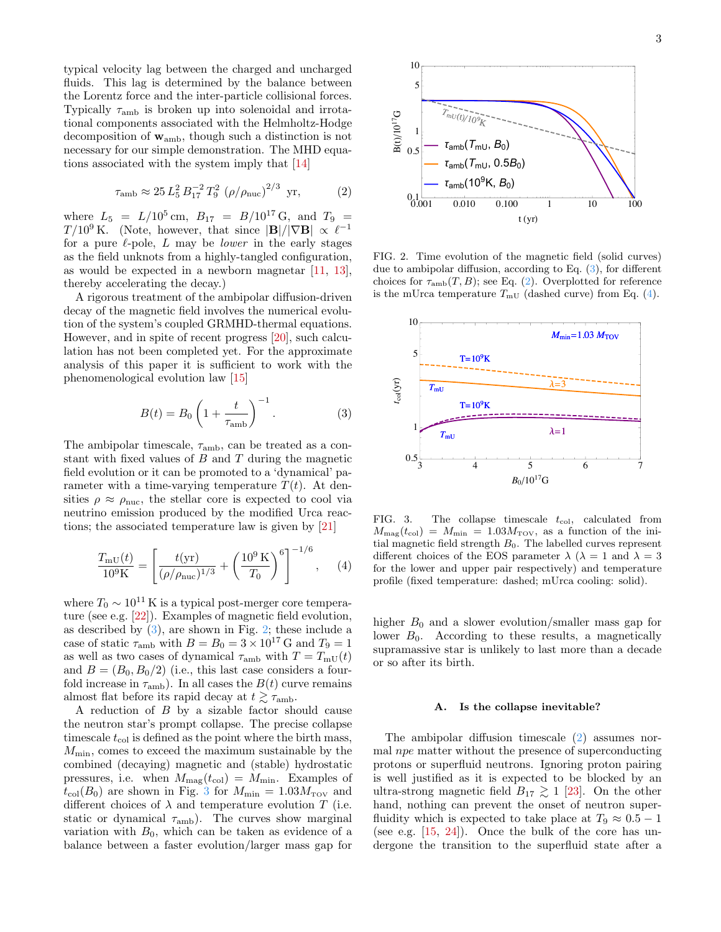typical velocity lag between the charged and uncharged fluids. This lag is determined by the balance between the Lorentz force and the inter-particle collisional forces. Typically  $\tau_{\rm amb}$  is broken up into solenoidal and irrotational components associated with the Helmholtz-Hodge decomposition of  $w_{amb}$ , though such a distinction is not necessary for our simple demonstration. The MHD equations associated with the system imply that [\[14\]](#page-4-11)

<span id="page-2-3"></span>
$$
\tau_{\rm amb} \approx 25 L_5^2 B_{17}^{-2} T_9^2 \left( \rho / \rho_{\rm nuc} \right)^{2/3} \text{ yr}, \qquad (2)
$$

where  $L_5 = L/10^5$  cm,  $B_{17} = B/10^{17}$  G, and  $T_9 =$  $T/10^9$  K. (Note, however, that since  $|\mathbf{B}|/|\nabla \mathbf{B}| \propto \ell^{-1}$ for a pure  $\ell$ -pole, L may be *lower* in the early stages as the field unknots from a highly-tangled configuration, as would be expected in a newborn magnetar [\[11,](#page-4-8) [13\]](#page-4-10), thereby accelerating the decay.)

A rigorous treatment of the ambipolar diffusion-driven decay of the magnetic field involves the numerical evolution of the system's coupled GRMHD-thermal equations. However, and in spite of recent progress [\[20\]](#page-4-18), such calculation has not been completed yet. For the approximate analysis of this paper it is sufficient to work with the phenomenological evolution law [\[15\]](#page-4-12)

<span id="page-2-0"></span>
$$
B(t) = B_0 \left( 1 + \frac{t}{\tau_{\rm amb}} \right)^{-1}.
$$
 (3)

The ambipolar timescale,  $\tau_{\rm amb}$ , can be treated as a constant with fixed values of  $B$  and  $T$  during the magnetic field evolution or it can be promoted to a 'dynamical' parameter with a time-varying temperature  $T(t)$ . At densities  $\rho \approx \rho_{\text{nuc}}$ , the stellar core is expected to cool via neutrino emission produced by the modified Urca reactions; the associated temperature law is given by [\[21\]](#page-4-19)

<span id="page-2-4"></span>
$$
\frac{T_{\rm mU}(t)}{10^9 \rm K} = \left[ \frac{t(\rm yr)}{(\rho/\rho_{\rm nuc})^{1/3}} + \left( \frac{10^9 \rm K}{T_0} \right)^6 \right]^{-1/6}, \quad (4)
$$

where  $T_0 \sim 10^{11}$  K is a typical post-merger core temperature (see e.g. [\[22\]](#page-4-20)). Examples of magnetic field evolution, as described by  $(3)$ , are shown in Fig. [2;](#page-2-1) these include a case of static  $\tau_{\rm amb}$  with  $B = B_0 = 3 \times 10^{17}$  G and  $T_9 = 1$ as well as two cases of dynamical  $\tau_{\rm amb}$  with  $T = T_{\rm mU}(t)$ and  $B = (B_0, B_0/2)$  (i.e., this last case considers a fourfold increase in  $\tau_{\rm amb}$ ). In all cases the  $B(t)$  curve remains almost flat before its rapid decay at  $t \gtrsim \tau_{\rm amb}$ .

A reduction of  $B$  by a sizable factor should cause the neutron star's prompt collapse. The precise collapse timescale  $t_{\text{col}}$  is defined as the point where the birth mass,  $M_{\text{min}}$ , comes to exceed the maximum sustainable by the combined (decaying) magnetic and (stable) hydrostatic pressures, i.e. when  $M_{\text{mag}}(t_{\text{col}}) = M_{\text{min}}$ . Examples of  $t_{\text{col}}(B_0)$  are shown in Fig. [3](#page-2-2) for  $M_{\text{min}} = 1.03 M_{\text{TOV}}$  and different choices of  $\lambda$  and temperature evolution  $T$  (i.e. static or dynamical  $\tau_{\rm amb}$ ). The curves show marginal variation with  $B_0$ , which can be taken as evidence of a balance between a faster evolution/larger mass gap for



<span id="page-2-1"></span>FIG. 2. Time evolution of the magnetic field (solid curves) due to ambipolar diffusion, according to Eq. [\(3\)](#page-2-0), for different choices for  $\tau_{amb}(T, B)$ ; see Eq. [\(2\)](#page-2-3). Overplotted for reference is the mUrca temperature  $T_{mU}$  (dashed curve) from Eq. [\(4\)](#page-2-4).



<span id="page-2-2"></span>FIG. 3. The collapse timescale  $t_{\text{col}}$ , calculated from  $M_{\text{mag}}(t_{\text{col}}) = M_{\text{min}} = 1.03 M_{\text{TOV}}$ , as a function of the initial magnetic field strength  $B_0$ . The labelled curves represent different choices of the EOS parameter  $\lambda$  ( $\lambda = 1$  and  $\lambda = 3$ ) for the lower and upper pair respectively) and temperature profile (fixed temperature: dashed; mUrca cooling: solid).

higher  $B_0$  and a slower evolution/smaller mass gap for lower  $B_0$ . According to these results, a magnetically supramassive star is unlikely to last more than a decade or so after its birth.

#### A. Is the collapse inevitable?

The ambipolar diffusion timescale [\(2\)](#page-2-3) assumes normal npe matter without the presence of superconducting protons or superfluid neutrons. Ignoring proton pairing is well justified as it is expected to be blocked by an ultra-strong magnetic field  $B_{17} \geq 1$  [\[23\]](#page-4-21). On the other hand, nothing can prevent the onset of neutron superfluidity which is expected to take place at  $T_9 \approx 0.5 - 1$ (see e.g.  $[15, 24]$  $[15, 24]$  $[15, 24]$ ). Once the bulk of the core has undergone the transition to the superfluid state after a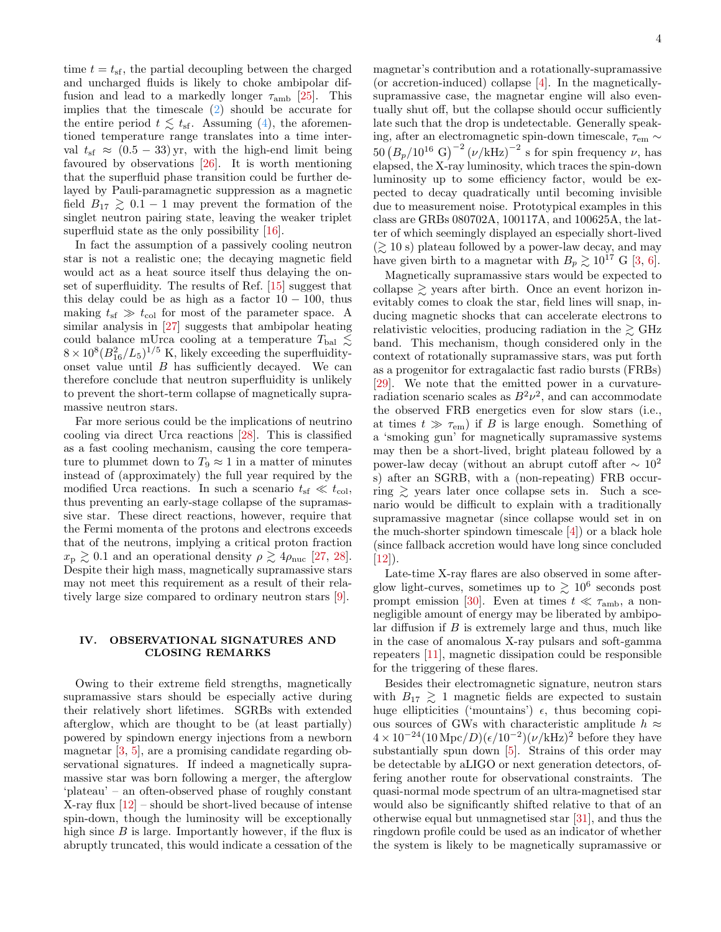time  $t = t_{\rm sf}$ , the partial decoupling between the charged and uncharged fluids is likely to choke ambipolar diffusion and lead to a markedly longer  $\tau_{amb}$  [\[25\]](#page-4-23). This implies that the timescale [\(2\)](#page-2-3) should be accurate for the entire period  $t \lesssim t_{\rm sf}$ . Assuming [\(4\)](#page-2-4), the aforementioned temperature range translates into a time interval  $t_{\rm sf} \approx (0.5 - 33) \,\text{yr}$ , with the high-end limit being favoured by observations [\[26\]](#page-4-24). It is worth mentioning that the superfluid phase transition could be further delayed by Pauli-paramagnetic suppression as a magnetic field  $B_{17} \geq 0.1 - 1$  may prevent the formation of the singlet neutron pairing state, leaving the weaker triplet superfluid state as the only possibility [\[16\]](#page-4-13).

In fact the assumption of a passively cooling neutron star is not a realistic one; the decaying magnetic field would act as a heat source itself thus delaying the onset of superfluidity. The results of Ref. [\[15\]](#page-4-12) suggest that this delay could be as high as a factor  $10 - 100$ , thus making  $t_{\rm sf} \gg t_{\rm col}$  for most of the parameter space. A similar analysis in [\[27\]](#page-4-25) suggests that ambipolar heating could balance mUrca cooling at a temperature  $T_{\text{bal}} \lesssim$  $8 \times 10^8 (B_{16}^2/L_5)^{1/5}$  K, likely exceeding the superfluidityonset value until  $B$  has sufficiently decayed. We can therefore conclude that neutron superfluidity is unlikely to prevent the short-term collapse of magnetically supramassive neutron stars.

Far more serious could be the implications of neutrino cooling via direct Urca reactions [\[28\]](#page-4-26). This is classified as a fast cooling mechanism, causing the core temperature to plummet down to  $T_9 \approx 1$  in a matter of minutes instead of (approximately) the full year required by the modified Urca reactions. In such a scenario  $t_{\rm sf} \ll t_{\rm col}$ , thus preventing an early-stage collapse of the supramassive star. These direct reactions, however, require that the Fermi momenta of the protons and electrons exceeds that of the neutrons, implying a critical proton fraction  $x_{\rm p} \gtrsim 0.1$  and an operational density  $\rho \gtrsim 4\rho_{\rm nuc}$  [\[27,](#page-4-25) [28\]](#page-4-26). Despite their high mass, magnetically supramassive stars may not meet this requirement as a result of their relatively large size compared to ordinary neutron stars [\[9\]](#page-4-6).

## IV. OBSERVATIONAL SIGNATURES AND CLOSING REMARKS

Owing to their extreme field strengths, magnetically supramassive stars should be especially active during their relatively short lifetimes. SGRBs with extended afterglow, which are thought to be (at least partially) powered by spindown energy injections from a newborn magnetar [\[3,](#page-4-2) [5\]](#page-4-27), are a promising candidate regarding observational signatures. If indeed a magnetically supramassive star was born following a merger, the afterglow 'plateau' – an often-observed phase of roughly constant X-ray flux  $[12]$  – should be short-lived because of intense spin-down, though the luminosity will be exceptionally high since B is large. Importantly however, if the flux is abruptly truncated, this would indicate a cessation of the

magnetar's contribution and a rotationally-supramassive (or accretion-induced) collapse [\[4\]](#page-4-16). In the magneticallysupramassive case, the magnetar engine will also eventually shut off, but the collapse should occur sufficiently late such that the drop is undetectable. Generally speaking, after an electromagnetic spin-down timescale,  $\tau_{\rm em} \sim$  $50 (B_p/10^{16} \text{ G})^{-2} (\nu/\text{kHz})^{-2}$  s for spin frequency  $\nu$ , has elapsed, the X-ray luminosity, which traces the spin-down luminosity up to some efficiency factor, would be expected to decay quadratically until becoming invisible due to measurement noise. Prototypical examples in this class are GRBs 080702A, 100117A, and 100625A, the latter of which seemingly displayed an especially short-lived  $(\gtrsim 10 \text{ s})$  plateau followed by a power-law decay, and may have given birth to a magnetar with  $B_p \gtrsim 10^{17}$  G [\[3,](#page-4-2) [6\]](#page-4-3).

Magnetically supramassive stars would be expected to collapse  $\geq$  years after birth. Once an event horizon inevitably comes to cloak the star, field lines will snap, inducing magnetic shocks that can accelerate electrons to relativistic velocities, producing radiation in the  $\gtrsim$  GHz band. This mechanism, though considered only in the context of rotationally supramassive stars, was put forth as a progenitor for extragalactic fast radio bursts (FRBs) [\[29\]](#page-4-28). We note that the emitted power in a curvatureradiation scenario scales as  $B^2\nu^2$ , and can accommodate the observed FRB energetics even for slow stars (i.e., at times  $t \gg \tau_{em}$  if B is large enough. Something of a 'smoking gun' for magnetically supramassive systems may then be a short-lived, bright plateau followed by a power-law decay (without an abrupt cutoff after  $\sim 10^2$ ) s) after an SGRB, with a (non-repeating) FRB occurring  $\gtrsim$  years later once collapse sets in. Such a scenario would be difficult to explain with a traditionally supramassive magnetar (since collapse would set in on the much-shorter spindown timescale [\[4\]](#page-4-16)) or a black hole (since fallback accretion would have long since concluded [\[12\]](#page-4-9)).

Late-time X-ray flares are also observed in some afterglow light-curves, sometimes up to  $\gtrsim 10^6$  seconds post prompt emission [\[30\]](#page-4-29). Even at times  $t \ll \tau_{\rm amb}$ , a nonnegligible amount of energy may be liberated by ambipolar diffusion if  $B$  is extremely large and thus, much like in the case of anomalous X-ray pulsars and soft-gamma repeaters [\[11\]](#page-4-8), magnetic dissipation could be responsible for the triggering of these flares.

Besides their electromagnetic signature, neutron stars with  $B_{17} \geq 1$  magnetic fields are expected to sustain huge ellipticities ('mountains')  $\epsilon$ , thus becoming copious sources of GWs with characteristic amplitude  $h \approx$  $4 \times 10^{-24} (10 \text{ Mpc}/D) (\epsilon/10^{-2}) (\nu/\text{kHz})^2$  before they have substantially spun down [\[5\]](#page-4-27). Strains of this order may be detectable by aLIGO or next generation detectors, offering another route for observational constraints. The quasi-normal mode spectrum of an ultra-magnetised star would also be significantly shifted relative to that of an otherwise equal but unmagnetised star [\[31\]](#page-4-30), and thus the ringdown profile could be used as an indicator of whether the system is likely to be magnetically supramassive or